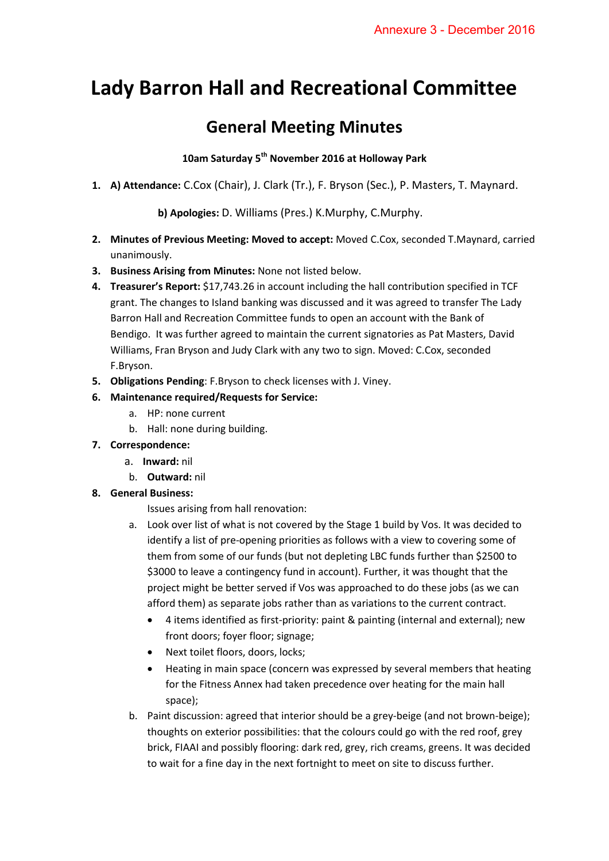# **Lady Barron Hall and Recreational Committee**

# **General Meeting Minutes**

## **10am Saturday 5th November 2016 at Holloway Park**

**1. A) Attendance:** C.Cox (Chair), J. Clark (Tr.), F. Bryson (Sec.), P. Masters, T. Maynard.

**b) Apologies:** D. Williams (Pres.) K.Murphy, C.Murphy.

- **2. Minutes of Previous Meeting: Moved to accept:** Moved C.Cox, seconded T.Maynard, carried unanimously.
- **3. Business Arising from Minutes:** None not listed below.
- **4. Treasurer's Report:** \$17,743.26 in account including the hall contribution specified in TCF grant. The changes to Island banking was discussed and it was agreed to transfer The Lady Barron Hall and Recreation Committee funds to open an account with the Bank of Bendigo. It was further agreed to maintain the current signatories as Pat Masters, David Williams, Fran Bryson and Judy Clark with any two to sign. Moved: C.Cox, seconded F.Bryson.
- **5. Obligations Pending**: F.Bryson to check licenses with J. Viney.

### **6. Maintenance required/Requests for Service:**

- a. HP: none current
- b. Hall: none during building.
- **7. Correspondence:** 
	- a. **Inward:** nil
	- b. **Outward:** nil

#### **8. General Business:**

Issues arising from hall renovation:

- a. Look over list of what is not covered by the Stage 1 build by Vos. It was decided to identify a list of pre-opening priorities as follows with a view to covering some of them from some of our funds (but not depleting LBC funds further than \$2500 to \$3000 to leave a contingency fund in account). Further, it was thought that the project might be better served if Vos was approached to do these jobs (as we can afford them) as separate jobs rather than as variations to the current contract.
	- 4 items identified as first-priority: paint & painting (internal and external); new front doors; foyer floor; signage;
	- Next toilet floors, doors, locks;
	- Heating in main space (concern was expressed by several members that heating for the Fitness Annex had taken precedence over heating for the main hall space);
- b. Paint discussion: agreed that interior should be a grey-beige (and not brown-beige); thoughts on exterior possibilities: that the colours could go with the red roof, grey brick, FIAAI and possibly flooring: dark red, grey, rich creams, greens. It was decided to wait for a fine day in the next fortnight to meet on site to discuss further.